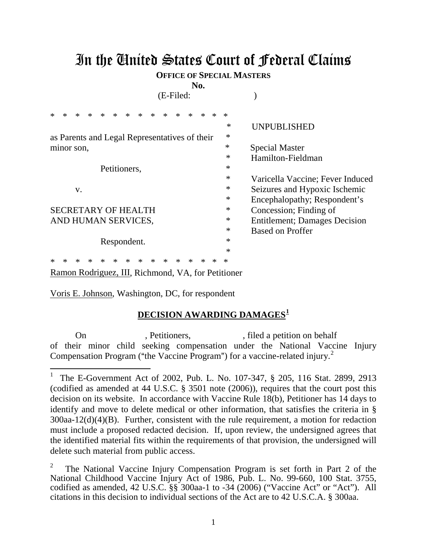## In the United States Court of Federal Claims

**OFFICE OF SPECIAL MASTERS**

**No.**

(E-Filed: )

|    |                                      | *                                             | $\ast$ | $\ast$ | $\ast$      | $\ast$ | $\ast$ | $\ast$ | $\ast$ | $\ast$ | $\ast$ | $\ast$ | $\ast$ | $\ast$ |                                       |
|----|--------------------------------------|-----------------------------------------------|--------|--------|-------------|--------|--------|--------|--------|--------|--------|--------|--------|--------|---------------------------------------|
|    |                                      |                                               |        |        |             |        |        |        |        |        |        |        |        | ∗      | <b>UNPUBLISHED</b>                    |
|    |                                      | as Parents and Legal Representatives of their |        |        |             |        |        |        |        |        |        |        |        |        |                                       |
|    | $\ast$<br>minor son,                 |                                               |        |        |             |        |        |        |        |        |        |        |        |        | <b>Special Master</b>                 |
|    | $\ast$                               |                                               |        |        |             |        |        |        |        |        |        |        |        |        | Hamilton-Fieldman                     |
|    | $\ast$<br>Petitioners,               |                                               |        |        |             |        |        |        |        |        |        |        |        |        |                                       |
|    |                                      |                                               |        |        |             |        |        |        |        |        |        |        |        | $\ast$ | Varicella Vaccine; Fever Induced      |
| V. |                                      |                                               |        |        |             |        |        |        |        |        |        |        |        | $\ast$ | Seizures and Hypoxic Ischemic         |
|    |                                      |                                               |        |        |             |        |        |        |        |        |        |        |        | $\ast$ | Encephalopathy; Respondent's          |
|    | $\ast$<br><b>SECRETARY OF HEALTH</b> |                                               |        |        |             |        |        |        |        |        |        |        |        |        | Concession; Finding of                |
|    | $\ast$<br>AND HUMAN SERVICES,        |                                               |        |        |             |        |        |        |        |        |        |        |        |        | <b>Entitlement</b> ; Damages Decision |
|    |                                      |                                               |        |        |             |        |        |        |        |        |        |        |        | $\ast$ | <b>Based on Proffer</b>               |
|    |                                      |                                               |        |        | Respondent. |        |        |        |        |        |        |        |        | $\ast$ |                                       |
|    |                                      |                                               |        |        |             |        |        |        |        |        |        |        |        | $\ast$ |                                       |
|    |                                      |                                               |        |        |             |        |        |        |        |        |        |        |        |        |                                       |

\* \* \* \* \* \* \* \* \* \* \* \* \* \* \* Ramon Rodriguez, III, Richmond, VA, for Petitioner

Voris E. Johnson, Washington, DC, for respondent

 $\overline{a}$ 

## **DECISION AWARDING DAMAGES<sup>1</sup>**

On , Petitioners, , filed a petition on behalf of their minor child seeking compensation under the National Vaccine Injury Compensation Program ("the Vaccine Program") for a vaccine-related injury.<sup>2</sup>

<sup>1</sup> The E-Government Act of 2002, Pub. L. No. 107-347, § 205, 116 Stat. 2899, 2913 (codified as amended at 44 U.S.C. § 3501 note (2006)), requires that the court post this decision on its website. In accordance with Vaccine Rule 18(b), Petitioner has 14 days to identify and move to delete medical or other information, that satisfies the criteria in § 300aa-12(d)(4)(B). Further, consistent with the rule requirement, a motion for redaction must include a proposed redacted decision.If, upon review, the undersigned agrees that the identified material fits within the requirements of that provision, the undersigned will delete such material from public access.

<sup>2</sup> The National Vaccine Injury Compensation Program is set forth in Part 2 of the National Childhood Vaccine Injury Act of 1986, Pub. L. No. 99-660, 100 Stat. 3755, codified as amended, 42 U.S.C. §§ 300aa-1 to -34 (2006) ("Vaccine Act" or "Act"). All citations in this decision to individual sections of the Act are to 42 U.S.C.A. § 300aa.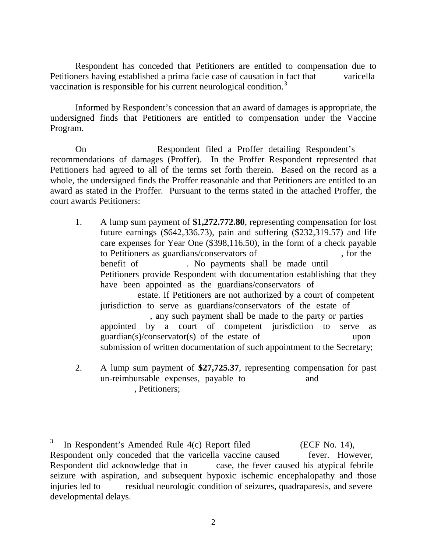Respondent has conceded that Petitioners are entitled to compensation due to Petitioners having established a prima facie case of causation in fact that varicella vaccination is responsible for his current neurological condition.<sup>3</sup>

Informed by Respondent's concession that an award of damages is appropriate, the undersigned finds that Petitioners are entitled to compensation under the Vaccine Program.

On Respondent filed a Proffer detailing Respondent's recommendations of damages (Proffer). In the Proffer Respondent represented that Petitioners had agreed to all of the terms set forth therein. Based on the record as a whole, the undersigned finds the Proffer reasonable and that Petitioners are entitled to an award as stated in the Proffer. Pursuant to the terms stated in the attached Proffer, the court awards Petitioners:

- 1. A lump sum payment of **\$1,272.772.80**, representing compensation for lost future earnings (\$642,336.73), pain and suffering (\$232,319.57) and life care expenses for Year One (\$398,116.50), in the form of a check payable to Petitioners as guardians/conservators of , for the benefit of . No payments shall be made until Petitioners provide Respondent with documentation establishing that they have been appointed as the guardians/conservators of estate. If Petitioners are not authorized by a court of competent jurisdiction to serve as guardians/conservators of the estate of , any such payment shall be made to the party or parties appointed by a court of competent jurisdiction to serve as guardian(s)/conservator(s) of the estate of upon submission of written documentation of such appointment to the Secretary;
- 2. A lump sum payment of **\$27,725.37**, representing compensation for past un-reimbursable expenses, payable to and , Petitioners;

 $\overline{a}$ 

In Respondent's Amended Rule 4(c) Report filed (ECF No. 14), Respondent only conceded that the varicella vaccine caused fever. However, Respondent did acknowledge that in case, the fever caused his atypical febrile seizure with aspiration, and subsequent hypoxic ischemic encephalopathy and those injuries led to residual neurologic condition of seizures, quadraparesis, and severe developmental delays.